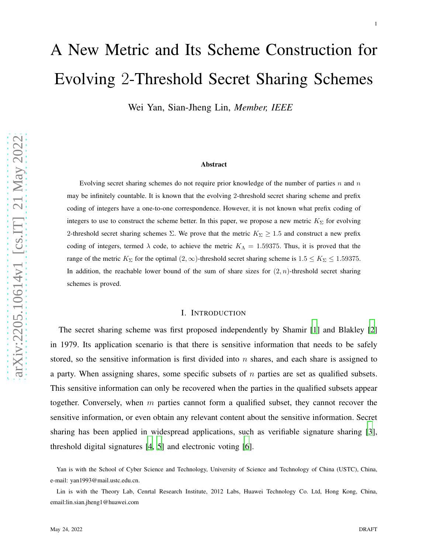# A New Metric and Its Scheme Construction for Evolving 2-Threshold Secret Sharing Schemes

Wei Yan, Sian-Jheng Lin, *Member, IEEE*

#### Abstract

Evolving secret sharing schemes do not require prior knowledge of the number of parties  $n$  and  $n$ may be infinitely countable. It is known that the evolving 2-threshold secret sharing scheme and prefix coding of integers have a one-to-one correspondence. However, it is not known what prefix coding of integers to use to construct the scheme better. In this paper, we propose a new metric  $K_{\Sigma}$  for evolving 2-threshold secret sharing schemes  $\Sigma$ . We prove that the metric  $K_{\Sigma} \ge 1.5$  and construct a new prefix coding of integers, termed  $\lambda$  code, to achieve the metric  $K_{\Lambda} = 1.59375$ . Thus, it is proved that the range of the metric  $K_{\Sigma}$  for the optimal  $(2, \infty)$ -threshold secret sharing scheme is  $1.5 \le K_{\Sigma} \le 1.59375$ . In addition, the reachable lower bound of the sum of share sizes for  $(2, n)$ -threshold secret sharing schemes is proved.

### I. INTRODUCTION

The secret sharing scheme was first proposed independently by Shamir [\[1\]](#page-19-0) and Blakley [\[2](#page-19-1)] in 1979. Its application scenario is that there is sensitive information that needs to be safely stored, so the sensitive information is first divided into  $n$  shares, and each share is assigned to a party. When assigning shares, some specific subsets of  $n$  parties are set as qualified subsets. This sensitive information can only be recovered when the parties in the qualified subsets appear together. Conversely, when  $m$  parties cannot form a qualified subset, they cannot recover the sensitive information, or even obtain any relevant content about the sensitive information. Secret sharing has been applied in widespread applications, such as verifiable signature sharing [\[3](#page-19-2)], threshold digital signatures [\[4](#page-20-0), [5](#page-20-1)] and electronic voting [\[6\]](#page-20-2).

Yan is with the School of Cyber Science and Technology, University of Science and Technology of China (USTC), China, e-mail: yan1993@mail.ustc.edu.cn.

Lin is with the Theory Lab, Cenrtal Research Institute, 2012 Labs, Huawei Technology Co. Ltd, Hong Kong, China, email:lin.sian.jheng1@huawei.com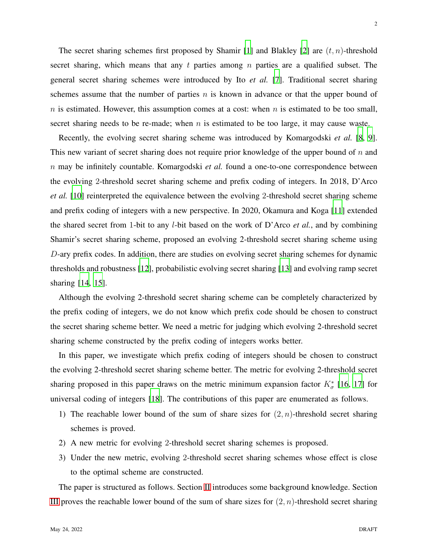The secret sharing schemes first proposed by Shamir [\[1](#page-19-0)] and Blakley [\[2](#page-19-1)] are  $(t, n)$ -threshold secret sharing, which means that any  $t$  parties among  $n$  parties are a qualified subset. The general secret sharing schemes were introduced by Ito *et al.* [\[7\]](#page-20-3). Traditional secret sharing schemes assume that the number of parties  $n$  is known in advance or that the upper bound of  $n$  is estimated. However, this assumption comes at a cost: when  $n$  is estimated to be too small, secret sharing needs to be re-made; when  $n$  is estimated to be too large, it may cause waste.

Recently, the evolving secret sharing scheme was introduced by Komargodski *et al.* [\[8](#page-20-4), [9](#page-20-5)]. This new variant of secret sharing does not require prior knowledge of the upper bound of  $n$  and n may be infinitely countable. Komargodski *et al.* found a one-to-one correspondence between the evolving 2-threshold secret sharing scheme and prefix coding of integers. In 2018, D'Arco *et al.* [\[10\]](#page-20-6) reinterpreted the equivalence between the evolving 2-threshold secret sharing scheme and prefix coding of integers with a new perspective. In 2020, Okamura and Koga [\[11\]](#page-20-7) extended the shared secret from 1-bit to any l-bit based on the work of D'Arco *et al.*, and by combining Shamir's secret sharing scheme, proposed an evolving 2-threshold secret sharing scheme using D-ary prefix codes. In addition, there are studies on evolving secret sharing schemes for dynamic thresholds and robustness [\[12\]](#page-20-8), probabilistic evolving secret sharing [\[13\]](#page-20-9) and evolving ramp secret sharing [\[14](#page-20-10), [15\]](#page-21-0).

Although the evolving 2-threshold secret sharing scheme can be completely characterized by the prefix coding of integers, we do not know which prefix code should be chosen to construct the secret sharing scheme better. We need a metric for judging which evolving 2-threshold secret sharing scheme constructed by the prefix coding of integers works better.

In this paper, we investigate which prefix coding of integers should be chosen to construct the evolving 2-threshold secret sharing scheme better. The metric for evolving 2-threshold secret sharing proposed in this paper draws on the metric minimum expansion factor  $K^*_{\sigma}$  [\[16,](#page-21-1) [17\]](#page-21-2) for universal coding of integers [\[18](#page-21-3)]. The contributions of this paper are enumerated as follows.

- 1) The reachable lower bound of the sum of share sizes for  $(2, n)$ -threshold secret sharing schemes is proved.
- 2) A new metric for evolving 2-threshold secret sharing schemes is proposed.
- 3) Under the new metric, evolving 2-threshold secret sharing schemes whose effect is close to the optimal scheme are constructed.

The paper is structured as follows. Section [II](#page-2-0) introduces some background knowledge. Section [III](#page-6-0) proves the reachable lower bound of the sum of share sizes for  $(2, n)$ -threshold secret sharing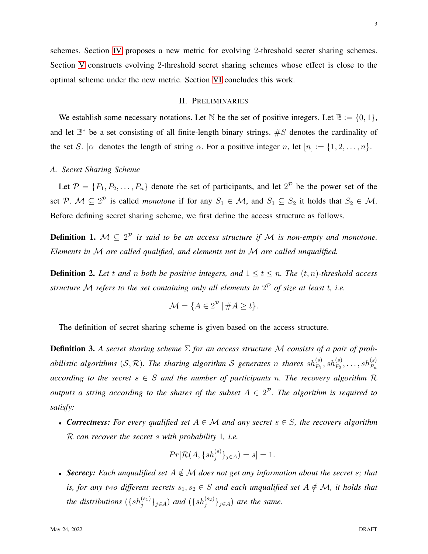<span id="page-2-0"></span>schemes. Section [IV](#page-10-0) proposes a new metric for evolving 2-threshold secret sharing schemes. Section [V](#page-12-0) constructs evolving 2-threshold secret sharing schemes whose effect is close to the optimal scheme under the new metric. Section [VI](#page-19-3) concludes this work.

### II. PRELIMINARIES

We establish some necessary notations. Let N be the set of positive integers. Let  $\mathbb{B} := \{0, 1\}$ , and let  $\mathbb{B}^*$  be a set consisting of all finite-length binary strings.  $\#S$  denotes the cardinality of the set S.  $|\alpha|$  denotes the length of string  $\alpha$ . For a positive integer n, let  $[n] := \{1, 2, ..., n\}.$ 

### *A. Secret Sharing Scheme*

Let  $\mathcal{P} = \{P_1, P_2, \ldots, P_n\}$  denote the set of participants, and let  $2^{\mathcal{P}}$  be the power set of the set P.  $M \subseteq 2^P$  is called *monotone* if for any  $S_1 \in M$ , and  $S_1 \subseteq S_2$  it holds that  $S_2 \in M$ . Before defining secret sharing scheme, we first define the access structure as follows.

<span id="page-2-2"></span>**Definition 1.**  $M \subseteq 2^P$  *is said to be an access structure if*  $M$  *is non-empty and monotone. Elements in* M *are called qualified, and elements not in* M *are called unqualified.*

<span id="page-2-3"></span>**Definition 2.** Let t and n both be positive integers, and  $1 \le t \le n$ . The  $(t, n)$ -threshold access *structure* M *refers to the set containing only all elements in* 2 <sup>P</sup> *of size at least* t*, i.e.*

$$
\mathcal{M} = \{ A \in 2^{\mathcal{P}} \mid \#A \ge t \}.
$$

The definition of secret sharing scheme is given based on the access structure.

<span id="page-2-1"></span>Definition 3. *A secret sharing scheme* Σ *for an access structure* M *consists of a pair of prob*abilistic algorithms  $(S, \mathcal{R})$ . The sharing algorithm  $S$  generates n shares  $sh_{P_1}^{(s)}, sh_{P_2}^{(s)}, \ldots, sh_{P_n}^{(s)}$ *according to the secret*  $s \in S$  *and the number of participants n. The recovery algorithm*  $R$ *outputs a string according to the shares of the subset*  $A \in 2^{\mathcal{P}}$ . The algorithm is required to *satisfy:*

• *Correctness: For every qualified set* A ∈ M *and any secret* s ∈ S*, the recovery algorithm* R *can recover the secret* s *with probability* 1*, i.e.*

$$
Pr[\mathcal{R}(A, \{sh_j^{(s)}\}_{j \in A}) = s] = 1.
$$

• **Secrecy:** Each unqualified set  $A \notin \mathcal{M}$  does not get any information about the secret s; that *is, for any two different secrets*  $s_1, s_2 \in S$  *and each unqualified set*  $A \notin \mathcal{M}$ *, it holds that* the distributions  $(\{sh_j^{(s_1)}\}_{j\in A})$  and  $(\{sh_j^{(s_2)}\}_{j\in A})$  are the same.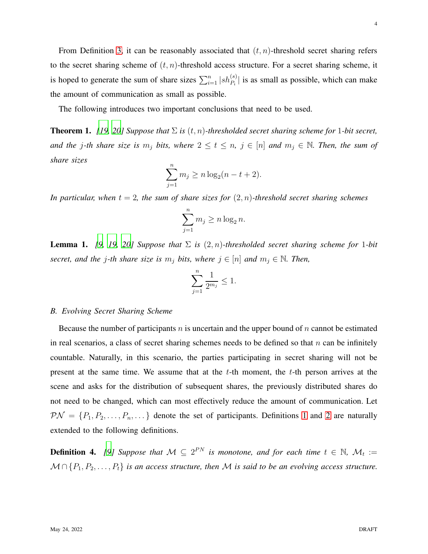From Definition [3,](#page-2-1) it can be reasonably associated that  $(t, n)$ -threshold secret sharing refers to the secret sharing scheme of  $(t, n)$ -threshold access structure. For a secret sharing scheme, it is hoped to generate the sum of share sizes  $\sum_{i=1}^{n} |sh_{P_i}^{(s)}|$  is as small as possible, which can make the amount of communication as small as possible.

The following introduces two important conclusions that need to be used.

<span id="page-3-0"></span>**Theorem 1.** *[\[19,](#page-21-4) [20\]](#page-21-5)* Suppose that  $\Sigma$  *is*  $(t, n)$ -thresholded secret sharing scheme for 1-bit secret, *and the* j-th share size is  $m_j$  bits, where  $2 \le t \le n$ ,  $j \in [n]$  and  $m_j \in \mathbb{N}$ . Then, the sum of *share sizes*

$$
\sum_{j=1}^{n} m_j \ge n \log_2(n - t + 2).
$$

*In particular, when*  $t = 2$ *, the sum of share sizes for*  $(2, n)$ *-threshold secret sharing schemes* 

$$
\sum_{j=1}^{n} m_j \ge n \log_2 n.
$$

<span id="page-3-1"></span>**Lemma 1.** [\[9,](#page-20-5) [19,](#page-21-4) [20\]](#page-21-5) Suppose that  $\Sigma$  is  $(2, n)$ -thresholded secret sharing scheme for 1-bit *secret, and the j-th share size is*  $m_j$  *bits, where*  $j \in [n]$  *and*  $m_j \in \mathbb{N}$ *. Then,* 

$$
\sum_{j=1}^n \frac{1}{2^{m_j}} \le 1.
$$

### *B. Evolving Secret Sharing Scheme*

Because the number of participants n is uncertain and the upper bound of n cannot be estimated in real scenarios, a class of secret sharing schemes needs to be defined so that  $n$  can be infinitely countable. Naturally, in this scenario, the parties participating in secret sharing will not be present at the same time. We assume that at the  $t$ -th moment, the  $t$ -th person arrives at the scene and asks for the distribution of subsequent shares, the previously distributed shares do not need to be changed, which can most effectively reduce the amount of communication. Let  $\mathcal{PN} = \{P_1, P_2, \ldots, P_n, \ldots\}$  denote the set of participants. Definitions [1](#page-2-2) and [2](#page-2-3) are naturally extended to the following definitions.

**Definition 4.** [\[9](#page-20-5)] Suppose that  $\mathcal{M} \subseteq 2^{PN}$  is monotone, and for each time  $t \in \mathbb{N}$ ,  $\mathcal{M}_t :=$  $M \cap \{P_1, P_2, \ldots, P_t\}$  *is an access structure, then* M *is said to be an evolving access structure.*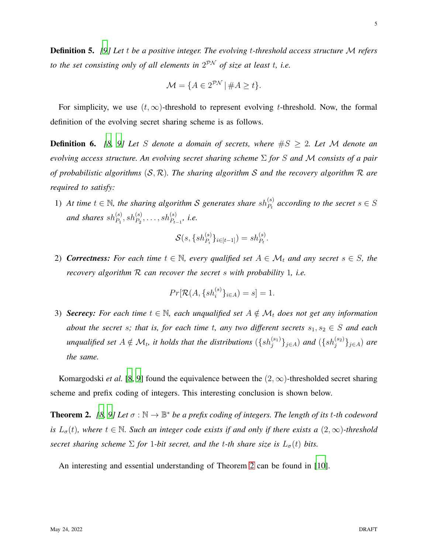Definition 5. *[\[9\]](#page-20-5) Let* t *be a positive integer. The evolving* t*-threshold access structure* M *refers to the set consisting only of all elements in* 2 PN *of size at least* t*, i.e.*

$$
\mathcal{M} = \{ A \in 2^{\mathcal{PN}} \mid \#A \ge t \}.
$$

For simplicity, we use  $(t, \infty)$ -threshold to represent evolving t-threshold. Now, the formal definition of the evolving secret sharing scheme is as follows.

**Definition 6.** [\[8](#page-20-4), [9\]](#page-20-5) Let S denote a domain of secrets, where  $\#S \geq 2$ . Let M denote an *evolving access structure. An evolving secret sharing scheme* Σ *for* S *and* M *consists of a pair of probabilistic algorithms* (S, R)*. The sharing algorithm* S *and the recovery algorithm* R *are required to satisfy:*

1) At time  $t \in \mathbb{N}$ , the sharing algorithm S generates share  $sh_{P_t}^{(s)}$  according to the secret  $s \in S$ and shares  $sh_{P_1}^{(s)}, sh_{P_2}^{(s)}, \ldots, sh_{P_{t-1}}^{(s)},$  i.e.

$$
\mathcal{S}(s, \{sh_{P_i}^{(s)}\}_{i \in [t-1]}) = sh_{P_t}^{(s)}.
$$

2) **Correctness:** For each time  $t \in \mathbb{N}$ , every qualified set  $A \in \mathcal{M}_t$  and any secret  $s \in S$ , the *recovery algorithm* R *can recover the secret* s *with probability* 1*, i.e.*

$$
Pr[\mathcal{R}(A, \{sh_i^{(s)}\}_{i \in A}) = s] = 1.
$$

3) **Secrecy:** For each time  $t \in \mathbb{N}$ , each unqualified set  $A \notin \mathcal{M}_t$  does not get any information *about the secret s; that is, for each time t, any two different secrets*  $s_1, s_2 \in S$  *and each* unqualified set  $A \notin \mathcal{M}_t$ , it holds that the distributions  $(\{sh_j^{(s_1)}\}_{j\in A})$  and  $(\{sh_j^{(s_2)}\}_{j\in A})$  are *the same.*

Komargodski *et al.* [\[8](#page-20-4), [9](#page-20-5)] found the equivalence between the  $(2, \infty)$ -thresholded secret sharing scheme and prefix coding of integers. This interesting conclusion is shown below.

<span id="page-4-0"></span>**Theorem 2.** [\[8](#page-20-4), [9](#page-20-5)] Let  $\sigma : \mathbb{N} \to \mathbb{B}^*$  be a prefix coding of integers. The length of its t-th codeword *is*  $L_{\sigma}(t)$ , where  $t \in \mathbb{N}$ . Such an integer code exists if and only if there exists a  $(2, \infty)$ -threshold *secret sharing scheme*  $\Sigma$  *for* 1*-bit secret, and the t-th share size is*  $L_{\sigma}(t)$  *bits.* 

An interesting and essential understanding of Theorem [2](#page-4-0) can be found in [\[10\]](#page-20-6).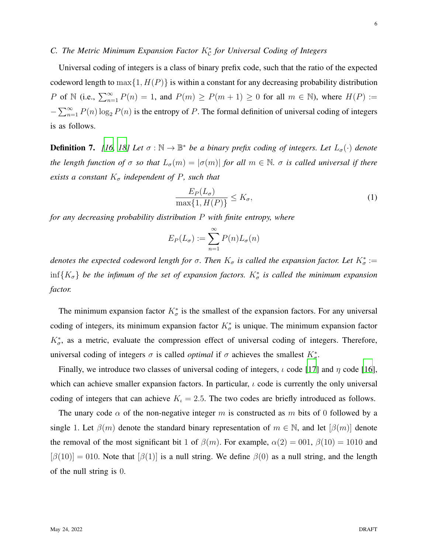### *C. The Metric Minimum Expansion Factor* K<sup>∗</sup> C *for Universal Coding of Integers*

Universal coding of integers is a class of binary prefix code, such that the ratio of the expected codeword length to  $\max\{1, H(P)\}\$ is within a constant for any decreasing probability distribution P of N (i.e.,  $\sum_{n=1}^{\infty} P(n) = 1$ , and  $P(m) \ge P(m+1) \ge 0$  for all  $m \in \mathbb{N}$ ), where  $H(P) :=$  $-\sum_{n=1}^{\infty} P(n) \log_2 P(n)$  is the entropy of P. The formal definition of universal coding of integers is as follows.

**Definition 7.** [\[16,](#page-21-1) [18\]](#page-21-3) Let  $\sigma : \mathbb{N} \to \mathbb{B}^*$  be a binary prefix coding of integers. Let  $L_{\sigma}(\cdot)$  denote *the length function of*  $\sigma$  *so that*  $L_{\sigma}(m) = |\sigma(m)|$  *for all*  $m \in \mathbb{N}$ *.*  $\sigma$  *is called universal if there exists a constant*  $K_{\sigma}$  *independent of*  $P$ *, such that* 

$$
\frac{E_P(L_\sigma)}{\max\{1, H(P)\}} \le K_\sigma,\tag{1}
$$

*for any decreasing probability distribution* P *with finite entropy, where*

$$
E_P(L_{\sigma}) := \sum_{n=1}^{\infty} P(n) L_{\sigma}(n)
$$

*denotes the expected codeword length for*  $\sigma$ . Then  $K_{\sigma}$  is called the expansion factor. Let  $K_{\sigma}^* :=$  $\inf\{K_{\sigma}\}\$  be the infimum of the set of expansion factors.  $K_{\sigma}^*$  is called the minimum expansion *factor.*

The minimum expansion factor  $K^*_{\sigma}$  is the smallest of the expansion factors. For any universal coding of integers, its minimum expansion factor  $K^*_{\sigma}$  is unique. The minimum expansion factor  $K^*_{\sigma}$ , as a metric, evaluate the compression effect of universal coding of integers. Therefore, universal coding of integers  $\sigma$  is called *optimal* if  $\sigma$  achieves the smallest  $K^*_{\sigma}$ .

Finally, we introduce two classes of universal coding of integers,  $\iota$  code [\[17\]](#page-21-2) and  $\eta$  code [\[16](#page-21-1)], which can achieve smaller expansion factors. In particular,  $\iota$  code is currently the only universal coding of integers that can achieve  $K<sub>i</sub> = 2.5$ . The two codes are briefly introduced as follows.

The unary code  $\alpha$  of the non-negative integer m is constructed as m bits of 0 followed by a single 1. Let  $\beta(m)$  denote the standard binary representation of  $m \in \mathbb{N}$ , and let  $[\beta(m)]$  denote the removal of the most significant bit 1 of  $\beta(m)$ . For example,  $\alpha(2) = 001$ ,  $\beta(10) = 1010$  and  $[\beta(10)] = 010$ . Note that  $[\beta(1)]$  is a null string. We define  $\beta(0)$  as a null string, and the length of the null string is 0.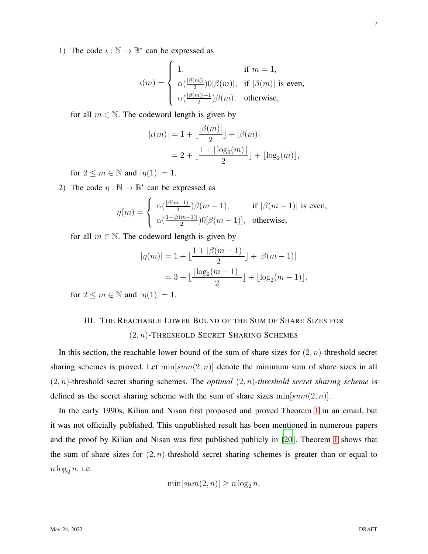1) The code  $\iota : \mathbb{N} \to \mathbb{B}^*$  can be expressed as

$$
\iota(m) = \begin{cases} 1, & \text{if } m = 1, \\ \alpha(\frac{|\beta(m)|}{2})0[\beta(m)], & \text{if } |\beta(m)| \text{ is even,} \\ \alpha(\frac{|\beta(m)|-1}{2})\beta(m), & \text{otherwise,} \end{cases}
$$

for all  $m \in \mathbb{N}$ . The codeword length is given by

$$
|\iota(m)| = 1 + \lfloor \frac{|\beta(m)|}{2} \rfloor + |\beta(m)|
$$
  
= 2 + \lfloor \frac{1 + \lfloor \log\_2(m) \rfloor}{2} \rfloor + \lfloor \log\_2(m) \rfloor,

for  $2 \leq m \in \mathbb{N}$  and  $|\eta(1)| = 1$ .

2) The code  $\eta : \mathbb{N} \to \mathbb{B}^*$  can be expressed as

$$
\eta(m) = \begin{cases} \alpha(\frac{|\beta(m-1)|}{2})\beta(m-1), & \text{if } |\beta(m-1)| \text{ is even,} \\ \alpha(\frac{1+|\beta(m-1)|}{2})0[\beta(m-1)], & \text{otherwise,} \end{cases}
$$

for all  $m \in \mathbb{N}$ . The codeword length is given by

$$
|\eta(m)| = 1 + \lfloor \frac{1 + |\beta(m-1)|}{2} \rfloor + |\beta(m-1)|
$$
  
= 3 +  $\lfloor \frac{\lfloor \log_2(m-1) \rfloor}{2} \rfloor + \lfloor \log_2(m-1) \rfloor$ ,

<span id="page-6-0"></span>for  $2 \leq m \in \mathbb{N}$  and  $|\eta(1)| = 1$ .

## III. THE REACHABLE LOWER BOUND OF THE SUM OF SHARE SIZES FOR  $(2, n)$ -THRESHOLD SECRET SHARING SCHEMES

In this section, the reachable lower bound of the sum of share sizes for  $(2, n)$ -threshold secret sharing schemes is proved. Let  $\min[sum(2, n)]$  denote the minimum sum of share sizes in all  $(2, n)$ -threshold secret sharing schemes. The *optimal*  $(2, n)$ -threshold secret sharing scheme is defined as the secret sharing scheme with the sum of share sizes  $min[sum(2, n)]$ .

In the early 1990s, Kilian and Nisan first proposed and proved Theorem [1](#page-3-0) in an email, but it was not officially published. This unpublished result has been mentioned in numerous papers and the proof by Kilian and Nisan was first published publicly in [\[20](#page-21-5)]. Theorem [1](#page-3-0) shows that the sum of share sizes for  $(2, n)$ -threshold secret sharing schemes is greater than or equal to  $n \log_2 n$ , i.e.

$$
\min[sum(2,n)] \ge n \log_2 n.
$$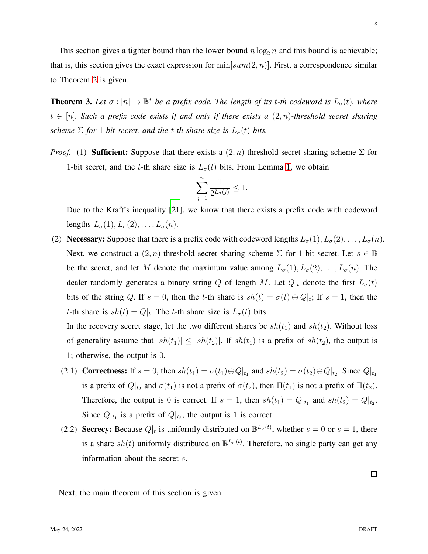This section gives a tighter bound than the lower bound  $n \log_2 n$  and this bound is achievable; that is, this section gives the exact expression for  $\min[sum(2, n)]$ . First, a correspondence similar to Theorem [2](#page-4-0) is given.

<span id="page-7-0"></span>**Theorem 3.** Let  $\sigma : [n] \to \mathbb{B}^*$  be a prefix code. The length of its t-th codeword is  $L_{\sigma}(t)$ , where t ∈ [n]*. Such a prefix code exists if and only if there exists a* (2, n)*-threshold secret sharing scheme*  $\Sigma$  *for* 1*-bit secret, and the t-th share size is*  $L_{\sigma}(t)$  *bits.* 

*Proof.* (1) **Sufficient:** Suppose that there exists a  $(2, n)$ -threshold secret sharing scheme  $\Sigma$  for 1-bit secret, and the t-th share size is  $L_{\sigma}(t)$  bits. From Lemma [1,](#page-3-1) we obtain

$$
\sum_{j=1}^{n} \frac{1}{2^{L_{\sigma}(j)}} \le 1.
$$

Due to the Kraft's inequality [\[21\]](#page-21-6), we know that there exists a prefix code with codeword lengths  $L_{\sigma}(1), L_{\sigma}(2), \ldots, L_{\sigma}(n)$ .

(2) Necessary: Suppose that there is a prefix code with codeword lengths  $L_{\sigma}(1), L_{\sigma}(2), \ldots, L_{\sigma}(n)$ . Next, we construct a  $(2, n)$ -threshold secret sharing scheme  $\Sigma$  for 1-bit secret. Let  $s \in \mathbb{B}$ be the secret, and let M denote the maximum value among  $L_{\sigma}(1), L_{\sigma}(2), \ldots, L_{\sigma}(n)$ . The dealer randomly generates a binary string Q of length M. Let  $Q|_t$  denote the first  $L_{\sigma}(t)$ bits of the string Q. If  $s = 0$ , then the t-th share is  $sh(t) = \sigma(t) \oplus Q|_t$ ; If  $s = 1$ , then the t-th share is  $sh(t) = Q|_t$ . The t-th share size is  $L_{\sigma}(t)$  bits.

In the recovery secret stage, let the two different shares be  $sh(t_1)$  and  $sh(t_2)$ . Without loss of generality assume that  $|sh(t_1)| \leq |sh(t_2)|$ . If  $sh(t_1)$  is a prefix of  $sh(t_2)$ , the output is 1; otherwise, the output is 0.

- (2.1) Correctness: If  $s = 0$ , then  $sh(t_1) = \sigma(t_1) \oplus Q|_{t_1}$  and  $sh(t_2) = \sigma(t_2) \oplus Q|_{t_2}$ . Since  $Q|_{t_1}$ is a prefix of  $Q|_{t_2}$  and  $\sigma(t_1)$  is not a prefix of  $\sigma(t_2)$ , then  $\Pi(t_1)$  is not a prefix of  $\Pi(t_2)$ . Therefore, the output is 0 is correct. If  $s = 1$ , then  $sh(t_1) = Q|_{t_1}$  and  $sh(t_2) = Q|_{t_2}$ . Since  $Q|_{t_1}$  is a prefix of  $Q|_{t_2}$ , the output is 1 is correct.
- (2.2) Secrecy: Because  $Q|_t$  is uniformly distributed on  $\mathbb{B}^{L_{\sigma}(t)}$ , whether  $s = 0$  or  $s = 1$ , there is a share  $sh(t)$  uniformly distributed on  $\mathbb{B}^{L_{\sigma}(t)}$ . Therefore, no single party can get any information about the secret s.

 $\Box$ 

Next, the main theorem of this section is given.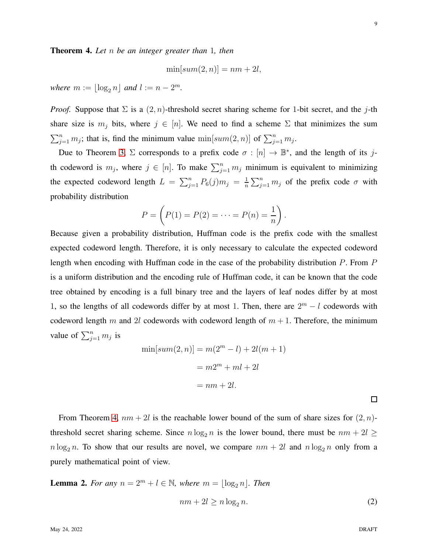<span id="page-8-0"></span>Theorem 4. *Let* n *be an integer greater than* 1*, then*

$$
\min[sum(2, n)] = nm + 2l,
$$

*where*  $m := \lfloor \log_2 n \rfloor$  *and*  $l := n - 2^m$ *.* 

*Proof.* Suppose that  $\Sigma$  is a  $(2, n)$ -threshold secret sharing scheme for 1-bit secret, and the j-th share size is  $m_j$  bits, where  $j \in [n]$ . We need to find a scheme  $\Sigma$  that minimizes the sum  $\sum_{j=1}^{n} m_j$ ; that is, find the minimum value  $\min[sum(2, n)]$  of  $\sum_{j=1}^{n} m_j$ .

Due to Theorem [3,](#page-7-0)  $\Sigma$  corresponds to a prefix code  $\sigma : [n] \to \mathbb{B}^*$ , and the length of its jth codeword is  $m_j$ , where  $j \in [n]$ . To make  $\sum_{j=1}^n m_j$  minimum is equivalent to minimizing the expected codeword length  $L = \sum_{j=1}^{n} P_6(j)m_j = \frac{1}{n}$  $\frac{1}{n} \sum_{j=1}^{n} m_j$  of the prefix code  $\sigma$  with probability distribution

$$
P = \left(P(1) = P(2) = \cdots = P(n) = \frac{1}{n}\right).
$$

Because given a probability distribution, Huffman code is the prefix code with the smallest expected codeword length. Therefore, it is only necessary to calculate the expected codeword length when encoding with Huffman code in the case of the probability distribution P. From P is a uniform distribution and the encoding rule of Huffman code, it can be known that the code tree obtained by encoding is a full binary tree and the layers of leaf nodes differ by at most 1, so the lengths of all codewords differ by at most 1. Then, there are  $2^m - l$  codewords with codeword length m and 2l codewords with codeword length of  $m + 1$ . Therefore, the minimum value of  $\sum_{j=1}^n m_j$  is

$$
\min[sum(2, n)] = m(2m - l) + 2l(m + 1)
$$

$$
= m2m + ml + 2l
$$

$$
= nm + 2l.
$$

From Theorem [4,](#page-8-0)  $nm + 2l$  is the reachable lower bound of the sum of share sizes for  $(2, n)$ threshold secret sharing scheme. Since  $n \log_2 n$  is the lower bound, there must be  $nm + 2l \geq$  $n \log_2 n$ . To show that our results are novel, we compare  $nm + 2l$  and  $n \log_2 n$  only from a purely mathematical point of view.

<span id="page-8-1"></span>**Lemma 2.** *For any*  $n = 2^m + l \in \mathbb{N}$ *, where*  $m = \lfloor \log_2 n \rfloor$ *. Then* 

<span id="page-8-2"></span>
$$
nm + 2l \ge n \log_2 n. \tag{2}
$$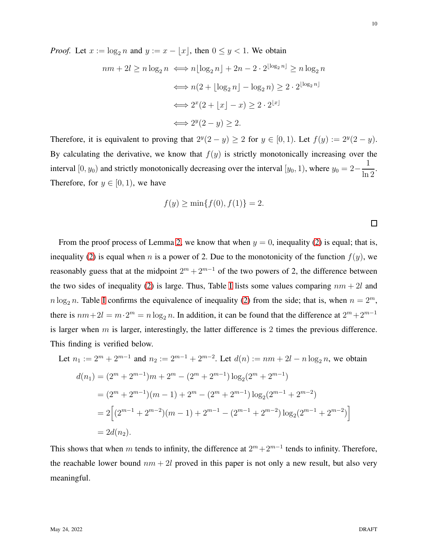*Proof.* Let  $x := \log_2 n$  and  $y := x - |x|$ , then  $0 \le y < 1$ . We obtain

$$
nm + 2l \ge n \log_2 n \iff n \lfloor \log_2 n \rfloor + 2n - 2 \cdot 2^{\lfloor \log_2 n \rfloor} \ge n \log_2 n
$$

$$
\iff n(2 + \lfloor \log_2 n \rfloor - \log_2 n) \ge 2 \cdot 2^{\lfloor \log_2 n \rfloor}
$$

$$
\iff 2^x (2 + \lfloor x \rfloor - x) \ge 2 \cdot 2^{\lfloor x \rfloor}
$$

$$
\iff 2^y (2 - y) \ge 2.
$$

Therefore, it is equivalent to proving that  $2^y(2-y) \ge 2$  for  $y \in [0,1)$ . Let  $f(y) := 2^y(2-y)$ . By calculating the derivative, we know that  $f(y)$  is strictly monotonically increasing over the interval  $[0, y_0)$  and strictly monotonically decreasing over the interval  $[y_0, 1)$ , where  $y_0 = 2-$ 1  $rac{1}{\ln 2}$ . Therefore, for  $y \in [0, 1)$ , we have

$$
f(y) \ge \min\{f(0), f(1)\} = 2.
$$

From the proof process of Lemma [2,](#page-8-1) we know that when  $y = 0$ , inequality [\(2\)](#page-8-2) is equal; that is, inequality [\(2\)](#page-8-2) is equal when n is a power of 2. Due to the monotonicity of the function  $f(y)$ , we reasonably guess that at the midpoint  $2^m + 2^{m-1}$  of the two powers of 2, the difference between the two sides of inequality [\(2\)](#page-8-2) is large. Thus, Table [I](#page-10-1) lists some values comparing  $nm + 2l$  and  $n \log_2 n$ . Table [I](#page-10-1) confirms the equivalence of inequality [\(2\)](#page-8-2) from the side; that is, when  $n = 2^m$ , there is  $nm+2l = m \cdot 2^m = n \log_2 n$ . In addition, it can be found that the difference at  $2^m + 2^{m-1}$ is larger when  $m$  is larger, interestingly, the latter difference is 2 times the previous difference. This finding is verified below.

Let 
$$
n_1 := 2^m + 2^{m-1}
$$
 and  $n_2 := 2^{m-1} + 2^{m-2}$ . Let  $d(n) := nm + 2l - n \log_2 n$ , we obtain  
\n
$$
d(n_1) = (2^m + 2^{m-1})m + 2^m - (2^m + 2^{m-1})\log_2(2^m + 2^{m-1})
$$
\n
$$
= (2^m + 2^{m-1})(m - 1) + 2^m - (2^m + 2^{m-1})\log_2(2^{m-1} + 2^{m-2})
$$
\n
$$
= 2\left[ (2^{m-1} + 2^{m-2})(m - 1) + 2^{m-1} - (2^{m-1} + 2^{m-2})\log_2(2^{m-1} + 2^{m-2}) \right]
$$
\n
$$
= 2d(n_2).
$$

This shows that when m tends to infinity, the difference at  $2^m + 2^{m-1}$  tends to infinity. Therefore, the reachable lower bound  $nm + 2l$  proved in this paper is not only a new result, but also very meaningful.

 $\Box$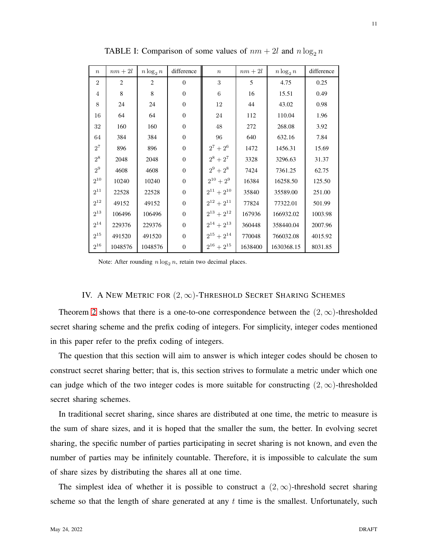<span id="page-10-1"></span>

| $\boldsymbol{n}$ | $\,nm+2l$      | $n \log_2 n$   | difference       | $\boldsymbol{n}$  | $\,nm+2l$ | $n \log_2 n$ | difference |
|------------------|----------------|----------------|------------------|-------------------|-----------|--------------|------------|
| $\overline{2}$   | $\overline{2}$ | $\overline{2}$ | $\Omega$         | 3                 | 5         | 4.75         | 0.25       |
| $\overline{4}$   | 8              | 8              | $\boldsymbol{0}$ | 6                 | 16        | 15.51        | 0.49       |
| 8                | 24             | 24             | $\boldsymbol{0}$ | 12                | 44        | 43.02        | 0.98       |
| 16               | 64             | 64             | $\mathbf{0}$     | 24                | 112       | 110.04       | 1.96       |
| 32               | 160            | 160            | $\mathbf{0}$     | 48                | 272       | 268.08       | 3.92       |
| 64               | 384            | 384            | $\mathbf{0}$     | 96                | 640       | 632.16       | 7.84       |
| $2^7$            | 896            | 896            | $\boldsymbol{0}$ | $2^7$<br>$+2^6$   | 1472      | 1456.31      | 15.69      |
| $2^8$            | 2048           | 2048           | $\boldsymbol{0}$ | $2^8$<br>$+2^7$   | 3328      | 3296.63      | 31.37      |
| $2^9$            | 4608           | 4608           | $\mathbf{0}$     | $2^9$<br>$+2^8$   | 7424      | 7361.25      | 62.75      |
| $2^{10}$         | 10240          | 10240          | $\mathbf{0}$     | $2^{10}+2^9$      | 16384     | 16258.50     | 125.50     |
| $2^{11}$         | 22528          | 22528          | $\mathbf{0}$     | $2^{11} + 2^{10}$ | 35840     | 35589.00     | 251.00     |
| $2^{12}$         | 49152          | 49152          | $\overline{0}$   | $2^{12} + 2^{11}$ | 77824     | 77322.01     | 501.99     |
| $2^{13}$         | 106496         | 106496         | $\boldsymbol{0}$ | $2^{13} + 2^{12}$ | 167936    | 166932.02    | 1003.98    |
| $2^{14}$         | 229376         | 229376         | $\mathbf{0}$     | $2^{14}+2^{13}$   | 360448    | 358440.04    | 2007.96    |
| $2^{15}$         | 491520         | 491520         | $\mathbf{0}$     | $2^{15} + 2^{14}$ | 770048    | 766032.08    | 4015.92    |
| $2^{16}$         | 1048576        | 1048576        | $\boldsymbol{0}$ | $2^{16}+2^{15}$   | 1638400   | 1630368.15   | 8031.85    |

TABLE I: Comparison of some values of  $nm + 2l$  and  $n \log_2 n$ 

Note: After rounding  $n \log_2 n$ , retain two decimal places.

### IV. A NEW METRIC FOR  $(2, \infty)$ -THRESHOLD SECRET SHARING SCHEMES

<span id="page-10-0"></span>Theorem [2](#page-4-0) shows that there is a one-to-one correspondence between the  $(2,\infty)$ -thresholded secret sharing scheme and the prefix coding of integers. For simplicity, integer codes mentioned in this paper refer to the prefix coding of integers.

The question that this section will aim to answer is which integer codes should be chosen to construct secret sharing better; that is, this section strives to formulate a metric under which one can judge which of the two integer codes is more suitable for constructing  $(2, \infty)$ -thresholded secret sharing schemes.

In traditional secret sharing, since shares are distributed at one time, the metric to measure is the sum of share sizes, and it is hoped that the smaller the sum, the better. In evolving secret sharing, the specific number of parties participating in secret sharing is not known, and even the number of parties may be infinitely countable. Therefore, it is impossible to calculate the sum of share sizes by distributing the shares all at one time.

The simplest idea of whether it is possible to construct a  $(2,\infty)$ -threshold secret sharing scheme so that the length of share generated at any  $t$  time is the smallest. Unfortunately, such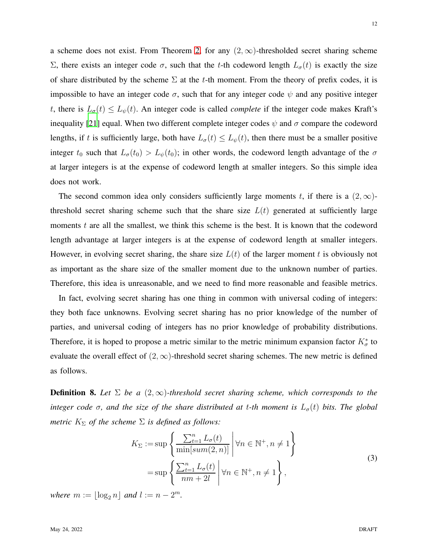a scheme does not exist. From Theorem [2,](#page-4-0) for any  $(2,\infty)$ -thresholded secret sharing scheme Σ, there exists an integer code  $\sigma$ , such that the t-th codeword length  $L_{\sigma}(t)$  is exactly the size of share distributed by the scheme  $\Sigma$  at the t-th moment. From the theory of prefix codes, it is impossible to have an integer code  $\sigma$ , such that for any integer code  $\psi$  and any positive integer t, there is  $L_{\sigma}(t) \leq L_{\psi}(t)$ . An integer code is called *complete* if the integer code makes Kraft's inequality [\[21\]](#page-21-6) equal. When two different complete integer codes  $\psi$  and  $\sigma$  compare the codeword lengths, if t is sufficiently large, both have  $L_{\sigma}(t) \leq L_{\psi}(t)$ , then there must be a smaller positive integer  $t_0$  such that  $L_{\sigma}(t_0) > L_{\psi}(t_0)$ ; in other words, the codeword length advantage of the  $\sigma$ at larger integers is at the expense of codeword length at smaller integers. So this simple idea does not work.

The second common idea only considers sufficiently large moments t, if there is a  $(2,\infty)$ threshold secret sharing scheme such that the share size  $L(t)$  generated at sufficiently large moments t are all the smallest, we think this scheme is the best. It is known that the codeword length advantage at larger integers is at the expense of codeword length at smaller integers. However, in evolving secret sharing, the share size  $L(t)$  of the larger moment t is obviously not as important as the share size of the smaller moment due to the unknown number of parties. Therefore, this idea is unreasonable, and we need to find more reasonable and feasible metrics.

In fact, evolving secret sharing has one thing in common with universal coding of integers: they both face unknowns. Evolving secret sharing has no prior knowledge of the number of parties, and universal coding of integers has no prior knowledge of probability distributions. Therefore, it is hoped to propose a metric similar to the metric minimum expansion factor  $K^*_{\sigma}$  to evaluate the overall effect of  $(2, \infty)$ -threshold secret sharing schemes. The new metric is defined as follows.

**Definition 8.** Let  $\Sigma$  be a  $(2,\infty)$ -threshold secret sharing scheme, which corresponds to the *integer code*  $\sigma$ *, and the size of the share distributed at t-th moment is*  $L_{\sigma}(t)$  *bits. The global metric*  $K_{\Sigma}$  *of the scheme*  $\Sigma$  *is defined as follows:* 

$$
K_{\Sigma} := \sup \left\{ \frac{\sum_{t=1}^{n} L_{\sigma}(t)}{\min[\text{sum}(2, n)]} \middle| \forall n \in \mathbb{N}^+, n \neq 1 \right\}
$$
  
= 
$$
\sup \left\{ \frac{\sum_{t=1}^{n} L_{\sigma}(t)}{nm + 2l} \middle| \forall n \in \mathbb{N}^+, n \neq 1 \right\},
$$
 (3)

*where*  $m := \lfloor \log_2 n \rfloor$  *and*  $l := n - 2^m$ *.*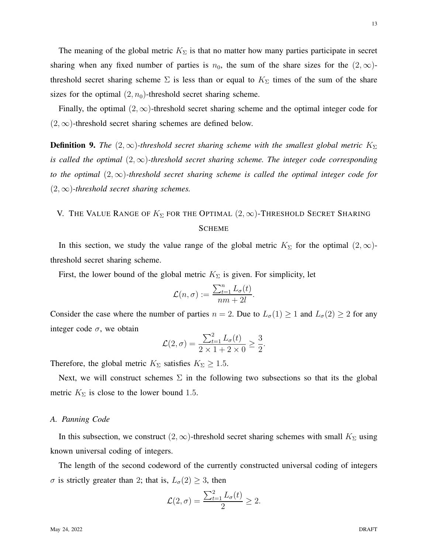The meaning of the global metric  $K_{\Sigma}$  is that no matter how many parties participate in secret sharing when any fixed number of parties is  $n_0$ , the sum of the share sizes for the  $(2,\infty)$ threshold secret sharing scheme  $\Sigma$  is less than or equal to  $K_{\Sigma}$  times of the sum of the share sizes for the optimal  $(2, n_0)$ -threshold secret sharing scheme.

Finally, the optimal  $(2, \infty)$ -threshold secret sharing scheme and the optimal integer code for  $(2, \infty)$ -threshold secret sharing schemes are defined below.

**Definition 9.** *The*  $(2, \infty)$ -threshold secret sharing scheme with the smallest global metric  $K_{\Sigma}$ *is called the optimal*  $(2, \infty)$ -threshold secret sharing scheme. The integer code corresponding *to the optimal*  $(2, \infty)$ -threshold secret sharing scheme is called the optimal integer code for  $(2, \infty)$ -threshold secret sharing schemes.

## <span id="page-12-0"></span>V. THE VALUE RANGE OF  $K_{\Sigma}$  for the Optimal  $(2, \infty)$ -Threshold Secret Sharing **SCHEME**

In this section, we study the value range of the global metric  $K_{\Sigma}$  for the optimal  $(2,\infty)$ threshold secret sharing scheme.

First, the lower bound of the global metric  $K_{\Sigma}$  is given. For simplicity, let

$$
\mathcal{L}(n,\sigma) := \frac{\sum_{t=1}^{n} L_{\sigma}(t)}{nm + 2l}.
$$

Consider the case where the number of parties  $n = 2$ . Due to  $L_{\sigma}(1) \ge 1$  and  $L_{\sigma}(2) \ge 2$  for any integer code  $\sigma$ , we obtain

$$
\mathcal{L}(2,\sigma) = \frac{\sum_{t=1}^{2} L_{\sigma}(t)}{2 \times 1 + 2 \times 0} \ge \frac{3}{2}.
$$

Therefore, the global metric  $K_{\Sigma}$  satisfies  $K_{\Sigma} \geq 1.5$ .

Next, we will construct schemes  $\Sigma$  in the following two subsections so that its the global metric  $K_{\Sigma}$  is close to the lower bound 1.5.

### *A. Panning Code*

In this subsection, we construct  $(2, \infty)$ -threshold secret sharing schemes with small  $K_{\Sigma}$  using known universal coding of integers.

The length of the second codeword of the currently constructed universal coding of integers  $\sigma$  is strictly greater than 2; that is,  $L_{\sigma}(2) \geq 3$ , then

$$
\mathcal{L}(2,\sigma) = \frac{\sum_{t=1}^{2} L_{\sigma}(t)}{2} \geq 2.
$$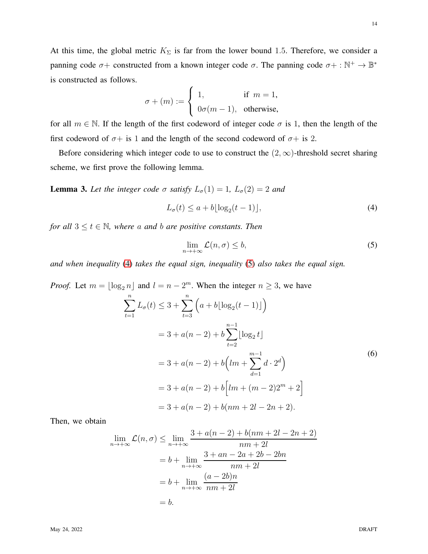At this time, the global metric  $K_{\Sigma}$  is far from the lower bound 1.5. Therefore, we consider a panning code  $\sigma$ + constructed from a known integer code  $\sigma$ . The panning code  $\sigma$ + :  $\mathbb{N}^+$   $\rightarrow \mathbb{B}^*$ is constructed as follows.

$$
\sigma + (m) := \begin{cases} 1, & \text{if } m = 1, \\ 0 \sigma(m-1), & \text{otherwise,} \end{cases}
$$

for all  $m \in \mathbb{N}$ . If the length of the first codeword of integer code  $\sigma$  is 1, then the length of the first codeword of  $\sigma$ + is 1 and the length of the second codeword of  $\sigma$ + is 2.

Before considering which integer code to use to construct the  $(2, \infty)$ -threshold secret sharing scheme, we first prove the following lemma.

<span id="page-13-2"></span>**Lemma 3.** Let the integer code  $\sigma$  satisfy  $L_{\sigma}(1) = 1$ ,  $L_{\sigma}(2) = 2$  and

<span id="page-13-0"></span>
$$
L_{\sigma}(t) \le a + b \lfloor \log_2(t - 1) \rfloor,
$$
\n<sup>(4)</sup>

*for all*  $3 \le t \in \mathbb{N}$ *, where a and b are positive constants. Then* 

<span id="page-13-1"></span>
$$
\lim_{n \to +\infty} \mathcal{L}(n, \sigma) \le b,\tag{5}
$$

*and when inequality* [\(4\)](#page-13-0) *takes the equal sign, inequality* [\(5\)](#page-13-1) *also takes the equal sign.*

*Proof.* Let 
$$
m = \lfloor \log_2 n \rfloor
$$
 and  $l = n - 2^m$ . When the integer  $n \ge 3$ , we have  
\n
$$
\sum_{t=1}^{n} L_{\sigma}(t) \le 3 + \sum_{t=3}^{n} \left( a + b \lfloor \log_2(t - 1) \rfloor \right)
$$
\n
$$
= 3 + a(n - 2) + b \sum_{t=2}^{n-1} \lfloor \log_2 t \rfloor
$$
\n
$$
= 3 + a(n - 2) + b \left( lm + \sum_{d=1}^{m-1} d \cdot 2^d \right)
$$
\n
$$
= 3 + a(n - 2) + b \left[ lm + (m - 2)2^m + 2 \right]
$$
\n
$$
= 3 + a(n - 2) + b(nm + 2l - 2n + 2).
$$
\n(6)

Then, we obtain

<span id="page-13-3"></span>
$$
\lim_{n \to +\infty} \mathcal{L}(n, \sigma) \le \lim_{n \to +\infty} \frac{3 + a(n-2) + b(nm + 2l - 2n + 2)}{nm + 2l}
$$

$$
= b + \lim_{n \to +\infty} \frac{3 + an - 2a + 2b - 2bn}{nm + 2l}
$$

$$
= b + \lim_{n \to +\infty} \frac{(a - 2b)n}{nm + 2l}
$$

$$
= b.
$$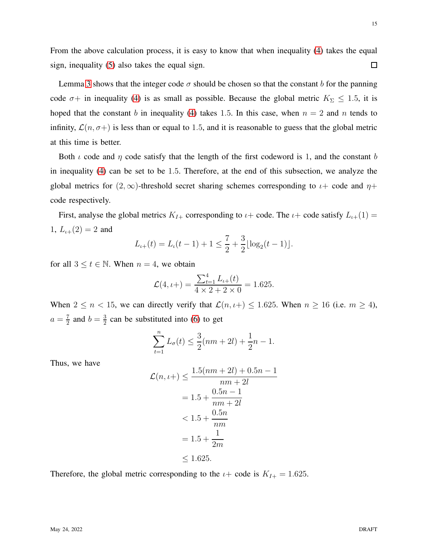From the above calculation process, it is easy to know that when inequality [\(4\)](#page-13-0) takes the equal sign, inequality [\(5\)](#page-13-1) also takes the equal sign.  $\Box$ 

Lemma [3](#page-13-2) shows that the integer code  $\sigma$  should be chosen so that the constant b for the panning code  $\sigma$ + in inequality [\(4\)](#page-13-0) is as small as possible. Because the global metric  $K_{\Sigma} \leq 1.5$ , it is hoped that the constant b in inequality [\(4\)](#page-13-0) takes 1.5. In this case, when  $n = 2$  and n tends to infinity,  $\mathcal{L}(n, \sigma+)$  is less than or equal to 1.5, and it is reasonable to guess that the global metric at this time is better.

Both  $\iota$  code and  $\eta$  code satisfy that the length of the first codeword is 1, and the constant b in inequality [\(4\)](#page-13-0) can be set to be 1.5. Therefore, at the end of this subsection, we analyze the global metrics for  $(2, \infty)$ -threshold secret sharing schemes corresponding to  $\iota$ + code and  $\eta$ + code respectively.

First, analyse the global metrics  $K_{I+}$  corresponding to  $\iota$  + code. The  $\iota$  + code satisfy  $L_{\iota+}(1)$  = 1,  $L_{\iota+}(2) = 2$  and

$$
L_{\iota+}(t) = L_{\iota}(t-1) + 1 \le \frac{7}{2} + \frac{3}{2} \lfloor \log_2(t-1) \rfloor.
$$

for all  $3 \le t \in \mathbb{N}$ . When  $n = 4$ , we obtain

$$
\mathcal{L}(4, t+) = \frac{\sum_{t=1}^{4} L_t + (t)}{4 \times 2 + 2 \times 0} = 1.625.
$$

When  $2 \le n < 15$ , we can directly verify that  $\mathcal{L}(n, \iota+) \le 1.625$ . When  $n \ge 16$  (i.e.  $m \ge 4$ ),  $a=\frac{7}{2}$  $\frac{7}{2}$  and  $b = \frac{3}{2}$  $\frac{3}{2}$  can be substituted into [\(6\)](#page-13-3) to get

$$
\sum_{t=1}^{n} L_{\sigma}(t) \le \frac{3}{2}(nm + 2l) + \frac{1}{2}n - 1.
$$

Thus, we have

$$
\mathcal{L}(n, t+) \le \frac{1.5(nm+2l) + 0.5n - 1}{nm + 2l} \n= 1.5 + \frac{0.5n - 1}{nm + 2l} \n< 1.5 + \frac{0.5n}{nm} \n= 1.5 + \frac{1}{2m} \n\le 1.625.
$$

Therefore, the global metric corresponding to the  $\iota$  + code is  $K_{I+} = 1.625$ .

15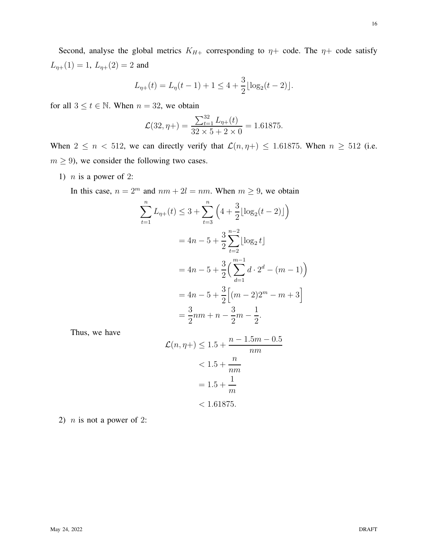Second, analyse the global metrics  $K_{H+}$  corresponding to  $\eta$ + code. The  $\eta$ + code satisfy  $L_{\eta+}(1) = 1, L_{\eta+}(2) = 2$  and

$$
L_{\eta+}(t) = L_{\eta}(t-1) + 1 \le 4 + \frac{3}{2} \lfloor \log_2(t-2) \rfloor.
$$

for all  $3 \le t \in \mathbb{N}$ . When  $n = 32$ , we obtain

$$
\mathcal{L}(32, \eta + ) = \frac{\sum_{t=1}^{32} L_{\eta+}(t)}{32 \times 5 + 2 \times 0} = 1.61875.
$$

When  $2 \le n < 512$ , we can directly verify that  $\mathcal{L}(n, \eta+) \le 1.61875$ . When  $n \ge 512$  (i.e.  $m \geq 9$ ), we consider the following two cases.

1)  $n$  is a power of 2:

In this case,  $n = 2^m$  and  $nm + 2l = nm$ . When  $m \ge 9$ , we obtain

$$
\sum_{t=1}^{n} L_{\eta+}(t) \leq 3 + \sum_{t=3}^{n} \left(4 + \frac{3}{2} \lfloor \log_2(t - 2) \rfloor\right)
$$
  
=  $4n - 5 + \frac{3}{2} \sum_{t=2}^{n-2} \lfloor \log_2 t \rfloor$   
=  $4n - 5 + \frac{3}{2} \left( \sum_{d=1}^{m-1} d \cdot 2^d - (m - 1) \right)$   
=  $4n - 5 + \frac{3}{2} \left[ (m - 2)2^m - m + 3 \right]$   
=  $\frac{3}{2}nm + n - \frac{3}{2}m - \frac{1}{2}.$ 

Thus, we have

$$
\mathcal{L}(n, \eta +) \le 1.5 + \frac{n - 1.5m - 0.5}{nm}
$$
  

$$
< 1.5 + \frac{n}{nm}
$$
  

$$
= 1.5 + \frac{1}{m}
$$
  

$$
< 1.61875.
$$

2)  $n$  is not a power of 2: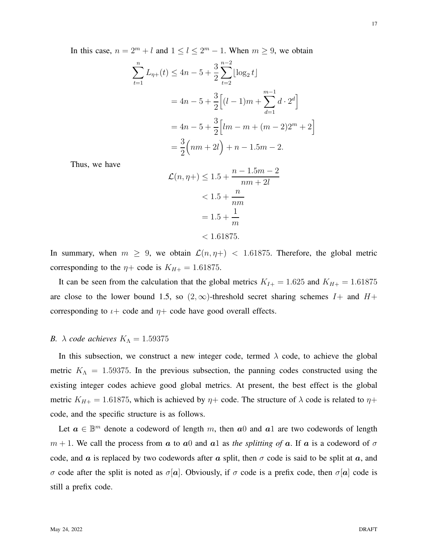In this case,  $n = 2^m + l$  and  $1 \le l \le 2^m - 1$ . When  $m \ge 9$ , we obtain

$$
\sum_{t=1}^{n} L_{\eta+}(t) \le 4n - 5 + \frac{3}{2} \sum_{t=2}^{n-2} \lfloor \log_2 t \rfloor
$$
  
=  $4n - 5 + \frac{3}{2} \left[ (l - 1)m + \sum_{d=1}^{m-1} d \cdot 2^d \right]$   
=  $4n - 5 + \frac{3}{2} \left[ lm - m + (m - 2)2^m + 2 \right]$   
=  $\frac{3}{2} \left( nm + 2l \right) + n - 1.5m - 2.$ 

Thus, we have

$$
\mathcal{L}(n, \eta +) \le 1.5 + \frac{n - 1.5m - 2}{nm + 2l} \n< 1.5 + \frac{n}{nm} \n= 1.5 + \frac{1}{m} \n< 1.61875.
$$

In summary, when  $m \geq 9$ , we obtain  $\mathcal{L}(n, \eta+) < 1.61875$ . Therefore, the global metric corresponding to the  $\eta$ + code is  $K_{H+}$  = 1.61875.

It can be seen from the calculation that the global metrics  $K_{I+} = 1.625$  and  $K_{H+} = 1.61875$ are close to the lower bound 1.5, so  $(2,\infty)$ -threshold secret sharing schemes  $I+$  and  $H+$ corresponding to  $\iota$  + code and  $\eta$  + code have good overall effects.

### *B.*  $\lambda$  *code achieves*  $K_{\Lambda} = 1.59375$

In this subsection, we construct a new integer code, termed  $\lambda$  code, to achieve the global metric  $K_A = 1.59375$ . In the previous subsection, the panning codes constructed using the existing integer codes achieve good global metrics. At present, the best effect is the global metric  $K_{H+} = 1.61875$ , which is achieved by  $\eta$ + code. The structure of  $\lambda$  code is related to  $\eta$ + code, and the specific structure is as follows.

Let  $a \in \mathbb{B}^m$  denote a codeword of length m, then  $a_0$  and  $a_1$  are two codewords of length  $m + 1$ . We call the process from a to a0 and a1 as *the splitting of* a. If a is a codeword of  $\sigma$ code, and a is replaced by two codewords after a split, then  $\sigma$  code is said to be split at a, and σ code after the split is noted as  $\sigma[\boldsymbol{a}]$ . Obviously, if σ code is a prefix code, then  $\sigma[\boldsymbol{a}]$  code is still a prefix code.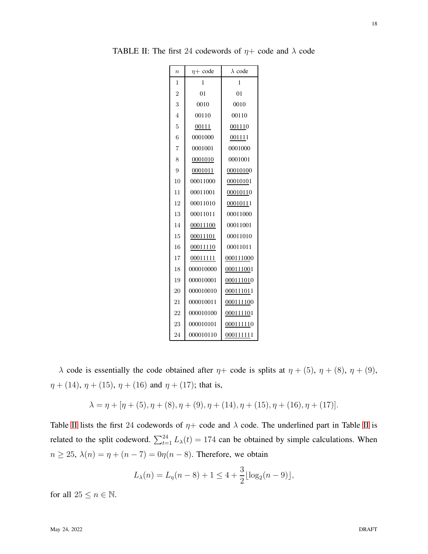| $\boldsymbol{n}$ | $\eta$ + code | $\lambda$ code |  |  |
|------------------|---------------|----------------|--|--|
| $\overline{1}$   | 1             | 1              |  |  |
| $\overline{2}$   | 01            | 01             |  |  |
| 3                | 0010          | 0010           |  |  |
| $\overline{4}$   | 00110         | 00110          |  |  |
| 5                | 00111         | <u>00111</u> 0 |  |  |
| 6                | 0001000       | 001111         |  |  |
| 7                | 0001001       | 0001000        |  |  |
| 8                | 0001010       | 0001001        |  |  |
| 9                | 0001011       | 00010100       |  |  |
| 10               | 00011000      | 00010101       |  |  |
| 11               | 00011001      | 00010110       |  |  |
| 12               | 00011010      | 00010111       |  |  |
| 13               | 00011011      | 00011000       |  |  |
| 14               | 00011100      | 00011001       |  |  |
| 15               | 00011101      | 00011010       |  |  |
| 16               | 00011110      | 00011011       |  |  |
| 17               | 00011111      | 000111000      |  |  |
| 18               | 000010000     | 000111001      |  |  |
| 19               | 000010001     | 000111010      |  |  |
| 20               | 000010010     | 000111011      |  |  |
| 21               | 000010011     | 000111100      |  |  |
| 22               | 000010100     | 000111101      |  |  |
| 23               | 000010101     | 000111110      |  |  |
| 24               | 000010110     | 000111111      |  |  |

<span id="page-17-0"></span>TABLE II: The first 24 codewords of  $\eta$ + code and  $\lambda$  code

 $\lambda$  code is essentially the code obtained after  $\eta$ + code is splits at  $\eta$  + (5),  $\eta$  + (8),  $\eta$  + (9),  $\eta + (14)$ ,  $\eta + (15)$ ,  $\eta + (16)$  and  $\eta + (17)$ ; that is,

$$
\lambda = \eta + [\eta + (5), \eta + (8), \eta + (9), \eta + (14), \eta + (15), \eta + (16), \eta + (17)].
$$

Table [II](#page-17-0) lists the first 24 codewords of  $\eta$ + code and  $\lambda$  code. The underlined part in Table II is related to the split codeword.  $\sum_{t=1}^{24} L_{\lambda}(t) = 174$  can be obtained by simple calculations. When  $n \ge 25$ ,  $\lambda(n) = \eta + (n - 7) = 0\eta(n - 8)$ . Therefore, we obtain

$$
L_{\lambda}(n) = L_{\eta}(n-8) + 1 \le 4 + \frac{3}{2} \lfloor \log_2(n-9) \rfloor,
$$

for all  $25 \le n \in \mathbb{N}$ .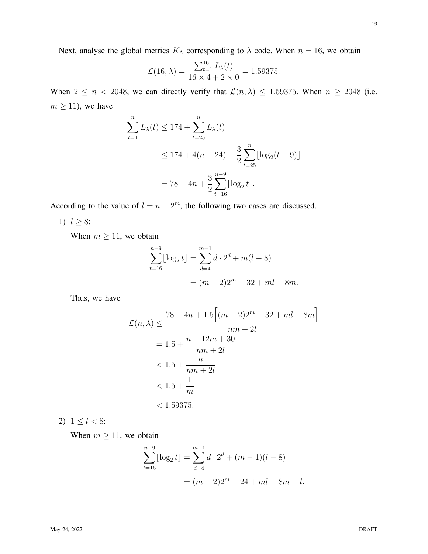Next, analyse the global metrics  $K_{\Lambda}$  corresponding to  $\lambda$  code. When  $n = 16$ , we obtain

$$
\mathcal{L}(16,\lambda) = \frac{\sum_{t=1}^{16} L_{\lambda}(t)}{16 \times 4 + 2 \times 0} = 1.59375.
$$

When  $2 \le n < 2048$ , we can directly verify that  $\mathcal{L}(n, \lambda) \le 1.59375$ . When  $n \ge 2048$  (i.e.  $m \geq 11$ ), we have

$$
\sum_{t=1}^{n} L_{\lambda}(t) \le 174 + \sum_{t=25}^{n} L_{\lambda}(t)
$$
  
\n
$$
\le 174 + 4(n - 24) + \frac{3}{2} \sum_{t=25}^{n} \lfloor \log_2(t - 9) \rfloor
$$
  
\n
$$
= 78 + 4n + \frac{3}{2} \sum_{t=16}^{n-9} \lfloor \log_2 t \rfloor.
$$

According to the value of  $l = n - 2^m$ , the following two cases are discussed.

1)  $l \geq 8$ :

When  $m \ge 11$ , we obtain

$$
\sum_{t=16}^{n-9} \lfloor \log_2 t \rfloor = \sum_{d=4}^{m-1} d \cdot 2^d + m(l-8)
$$

$$
= (m-2)2^m - 32 + ml - 8m.
$$

Thus, we have

$$
\mathcal{L}(n,\lambda) \le \frac{78 + 4n + 1.5[(m-2)2^m - 32 + ml - 8m]}{nm + 2l}
$$
  
= 1.5 +  $\frac{n - 12m + 30}{nm + 2l}$   
< 1.5 +  $\frac{n}{nm + 2l}$   
< 1.5 +  $\frac{1}{m}$   
< 1.59375.

2)  $1 \leq l < 8$ :

When  $m \ge 11$ , we obtain

$$
\sum_{t=16}^{n-9} \lfloor \log_2 t \rfloor = \sum_{d=4}^{m-1} d \cdot 2^d + (m-1)(l-8)
$$

$$
= (m-2)2^m - 24 + ml - 8m - l.
$$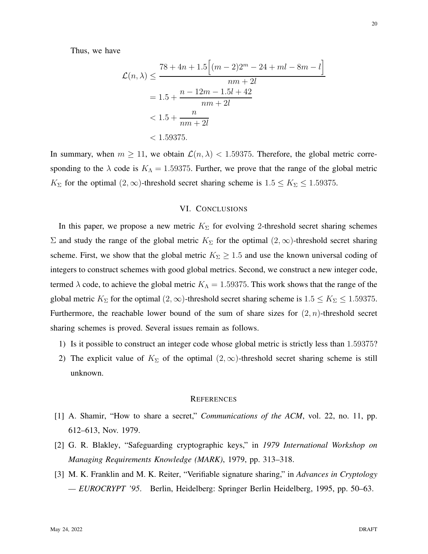Thus, we have

$$
\mathcal{L}(n,\lambda) \le \frac{78 + 4n + 1.5 \left[ (m-2)2^m - 24 + ml - 8m - l \right]}{nm + 2l}
$$
  
= 1.5 +  $\frac{n - 12m - 1.5l + 42}{nm + 2l}$   
< 1.5 +  $\frac{n}{nm + 2l}$   
< 1.59375.

<span id="page-19-3"></span>In summary, when  $m \ge 11$ , we obtain  $\mathcal{L}(n, \lambda) < 1.59375$ . Therefore, the global metric corresponding to the  $\lambda$  code is  $K_A = 1.59375$ . Further, we prove that the range of the global metric  $K_{\Sigma}$  for the optimal  $(2, \infty)$ -threshold secret sharing scheme is  $1.5 \le K_{\Sigma} \le 1.59375$ .

### VI. CONCLUSIONS

In this paper, we propose a new metric  $K_{\Sigma}$  for evolving 2-threshold secret sharing schemes Σ and study the range of the global metric  $K_{\Sigma}$  for the optimal  $(2, \infty)$ -threshold secret sharing scheme. First, we show that the global metric  $K_{\Sigma} \geq 1.5$  and use the known universal coding of integers to construct schemes with good global metrics. Second, we construct a new integer code, termed  $\lambda$  code, to achieve the global metric  $K_{\Lambda} = 1.59375$ . This work shows that the range of the global metric  $K_{\Sigma}$  for the optimal  $(2, \infty)$ -threshold secret sharing scheme is  $1.5 \le K_{\Sigma} \le 1.59375$ . Furthermore, the reachable lower bound of the sum of share sizes for  $(2, n)$ -threshold secret sharing schemes is proved. Several issues remain as follows.

- 1) Is it possible to construct an integer code whose global metric is strictly less than 1.59375?
- 2) The explicit value of  $K_{\Sigma}$  of the optimal  $(2,\infty)$ -threshold secret sharing scheme is still unknown.

#### **REFERENCES**

- <span id="page-19-0"></span>[1] A. Shamir, "How to share a secret," *Communications of the ACM*, vol. 22, no. 11, pp. 612–613, Nov. 1979.
- <span id="page-19-1"></span>[2] G. R. Blakley, "Safeguarding cryptographic keys," in *1979 International Workshop on Managing Requirements Knowledge (MARK)*, 1979, pp. 313–318.
- <span id="page-19-2"></span>[3] M. K. Franklin and M. K. Reiter, "Verifiable signature sharing," in *Advances in Cryptology — EUROCRYPT '95*. Berlin, Heidelberg: Springer Berlin Heidelberg, 1995, pp. 50–63.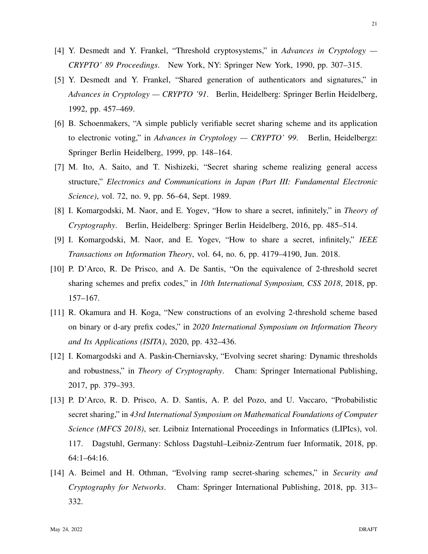- <span id="page-20-0"></span>[4] Y. Desmedt and Y. Frankel, "Threshold cryptosystems," in *Advances in Cryptology — CRYPTO' 89 Proceedings*. New York, NY: Springer New York, 1990, pp. 307–315.
- <span id="page-20-1"></span>[5] Y. Desmedt and Y. Frankel, "Shared generation of authenticators and signatures," in *Advances in Cryptology — CRYPTO '91*. Berlin, Heidelberg: Springer Berlin Heidelberg, 1992, pp. 457–469.
- <span id="page-20-2"></span>[6] B. Schoenmakers, "A simple publicly verifiable secret sharing scheme and its application to electronic voting," in *Advances in Cryptology — CRYPTO' 99*. Berlin, Heidelbergz: Springer Berlin Heidelberg, 1999, pp. 148–164.
- <span id="page-20-3"></span>[7] M. Ito, A. Saito, and T. Nishizeki, "Secret sharing scheme realizing general access structure," *Electronics and Communications in Japan (Part III: Fundamental Electronic Science)*, vol. 72, no. 9, pp. 56–64, Sept. 1989.
- <span id="page-20-4"></span>[8] I. Komargodski, M. Naor, and E. Yogev, "How to share a secret, infinitely," in *Theory of Cryptography*. Berlin, Heidelberg: Springer Berlin Heidelberg, 2016, pp. 485–514.
- <span id="page-20-5"></span>[9] I. Komargodski, M. Naor, and E. Yogev, "How to share a secret, infinitely," *IEEE Transactions on Information Theory*, vol. 64, no. 6, pp. 4179–4190, Jun. 2018.
- <span id="page-20-6"></span>[10] P. D'Arco, R. De Prisco, and A. De Santis, "On the equivalence of 2-threshold secret sharing schemes and prefix codes," in *10th International Symposium, CSS 2018*, 2018, pp. 157–167.
- <span id="page-20-7"></span>[11] R. Okamura and H. Koga, "New constructions of an evolving 2-threshold scheme based on binary or d-ary prefix codes," in *2020 International Symposium on Information Theory and Its Applications (ISITA)*, 2020, pp. 432–436.
- <span id="page-20-8"></span>[12] I. Komargodski and A. Paskin-Cherniavsky, "Evolving secret sharing: Dynamic thresholds and robustness," in *Theory of Cryptography*. Cham: Springer International Publishing, 2017, pp. 379–393.
- <span id="page-20-9"></span>[13] P. D'Arco, R. D. Prisco, A. D. Santis, A. P. del Pozo, and U. Vaccaro, "Probabilistic secret sharing," in *43rd International Symposium on Mathematical Foundations of Computer Science (MFCS 2018)*, ser. Leibniz International Proceedings in Informatics (LIPIcs), vol. 117. Dagstuhl, Germany: Schloss Dagstuhl–Leibniz-Zentrum fuer Informatik, 2018, pp. 64:1–64:16.
- <span id="page-20-10"></span>[14] A. Beimel and H. Othman, "Evolving ramp secret-sharing schemes," in *Security and Cryptography for Networks*. Cham: Springer International Publishing, 2018, pp. 313– 332.